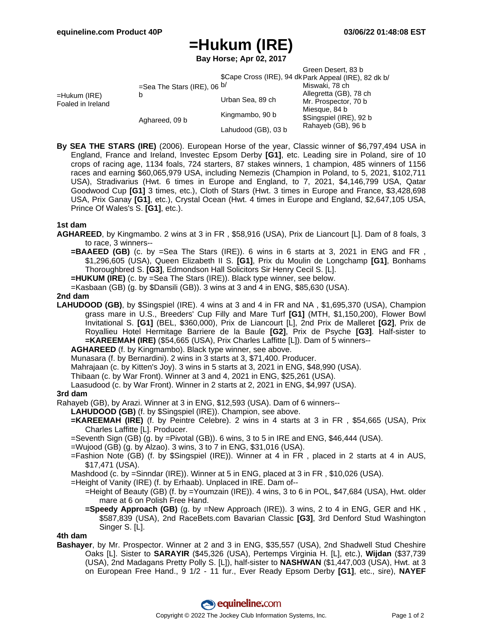# **=Hukum (IRE)**

**Bay Horse; Apr 02, 2017**

|                                   |                                    |                     | Green Desert, 83 b<br>\$Cape Cross (IRE), 94 dk Park Appeal (IRE), 82 dk b/ |  |
|-----------------------------------|------------------------------------|---------------------|-----------------------------------------------------------------------------|--|
|                                   |                                    |                     |                                                                             |  |
| =Hukum (IRE)<br>Foaled in Ireland | =Sea The Stars (IRE), 06 $b/$<br>b |                     | Miswaki, 78 ch                                                              |  |
|                                   |                                    | Urban Sea, 89 ch    | Allegretta (GB), 78 ch                                                      |  |
|                                   |                                    |                     | Mr. Prospector, 70 b                                                        |  |
|                                   | Aghareed, 09 b                     | Kingmambo, 90 b     | Miesque, 84 b<br>\$Singspiel (IRE), 92 b                                    |  |
|                                   |                                    | Lahudood (GB), 03 b | Rahayeb (GB), 96 b                                                          |  |

**By SEA THE STARS (IRE)** (2006). European Horse of the year, Classic winner of \$6,797,494 USA in England, France and Ireland, Investec Epsom Derby **[G1]**, etc. Leading sire in Poland, sire of 10 crops of racing age, 1134 foals, 724 starters, 87 stakes winners, 1 champion, 485 winners of 1156 races and earning \$60,065,979 USA, including Nemezis (Champion in Poland, to 5, 2021, \$102,711 USA), Stradivarius (Hwt. 6 times in Europe and England, to 7, 2021, \$4,146,799 USA, Qatar Goodwood Cup **[G1]** 3 times, etc.), Cloth of Stars (Hwt. 3 times in Europe and France, \$3,428,698 USA, Prix Ganay **[G1]**, etc.), Crystal Ocean (Hwt. 4 times in Europe and England, \$2,647,105 USA, Prince Of Wales's S. **[G1]**, etc.).

## **1st dam**

- **AGHAREED**, by Kingmambo. 2 wins at 3 in FR , \$58,916 (USA), Prix de Liancourt [L]. Dam of 8 foals, 3 to race, 3 winners--
	- **=BAAEED (GB)** (c. by =Sea The Stars (IRE)). 6 wins in 6 starts at 3, 2021 in ENG and FR , \$1,296,605 (USA), Queen Elizabeth II S. **[G1]**, Prix du Moulin de Longchamp **[G1]**, Bonhams Thoroughbred S. **[G3]**, Edmondson Hall Solicitors Sir Henry Cecil S. [L].
	- **=HUKUM (IRE)** (c. by =Sea The Stars (IRE)). Black type winner, see below.
	- =Kasbaan (GB) (g. by \$Dansili (GB)). 3 wins at 3 and 4 in ENG, \$85,630 (USA).

### **2nd dam**

- **LAHUDOOD (GB)**, by \$Singspiel (IRE). 4 wins at 3 and 4 in FR and NA , \$1,695,370 (USA), Champion grass mare in U.S., Breeders' Cup Filly and Mare Turf **[G1]** (MTH, \$1,150,200), Flower Bowl Invitational S. **[G1]** (BEL, \$360,000), Prix de Liancourt [L], 2nd Prix de Malleret **[G2]**, Prix de Royallieu Hotel Hermitage Barriere de la Baule **[G2]**, Prix de Psyche **[G3]**. Half-sister to **=KAREEMAH (IRE)** (\$54,665 (USA), Prix Charles Laffitte [L]). Dam of 5 winners--
	- **AGHAREED** (f. by Kingmambo). Black type winner, see above.
	- Munasara (f. by Bernardini). 2 wins in 3 starts at 3, \$71,400. Producer.
	- Mahrajaan (c. by Kitten's Joy). 3 wins in 5 starts at 3, 2021 in ENG, \$48,990 (USA).
	- Thibaan (c. by War Front). Winner at 3 and 4, 2021 in ENG, \$25,261 (USA).
	- Laasudood (c. by War Front). Winner in 2 starts at 2, 2021 in ENG, \$4,997 (USA).

#### **3rd dam**

- Rahayeb (GB), by Arazi. Winner at 3 in ENG, \$12,593 (USA). Dam of 6 winners--
	- **LAHUDOOD (GB)** (f. by \$Singspiel (IRE)). Champion, see above.
	- **=KAREEMAH (IRE)** (f. by Peintre Celebre). 2 wins in 4 starts at 3 in FR , \$54,665 (USA), Prix Charles Laffitte [L]. Producer.
	- =Seventh Sign (GB) (g. by =Pivotal (GB)). 6 wins, 3 to 5 in IRE and ENG, \$46,444 (USA).
	- =Wujood (GB) (g. by Alzao). 3 wins, 3 to 7 in ENG, \$31,016 (USA).
	- =Fashion Note (GB) (f. by \$Singspiel (IRE)). Winner at 4 in FR , placed in 2 starts at 4 in AUS, \$17,471 (USA).
	- Mashdood (c. by =Sinndar (IRE)). Winner at 5 in ENG, placed at 3 in FR , \$10,026 (USA).
	- =Height of Vanity (IRE) (f. by Erhaab). Unplaced in IRE. Dam of--
		- =Height of Beauty (GB) (f. by =Youmzain (IRE)). 4 wins, 3 to 6 in POL, \$47,684 (USA), Hwt. older mare at 6 on Polish Free Hand.
		- **=Speedy Approach (GB)** (g. by =New Approach (IRE)). 3 wins, 2 to 4 in ENG, GER and HK, \$587,839 (USA), 2nd RaceBets.com Bavarian Classic **[G3]**, 3rd Denford Stud Washington Singer S. [L].

## **4th dam**

**Bashayer**, by Mr. Prospector. Winner at 2 and 3 in ENG, \$35,557 (USA), 2nd Shadwell Stud Cheshire Oaks [L]. Sister to **SARAYIR** (\$45,326 (USA), Pertemps Virginia H. [L], etc.), **Wijdan** (\$37,739 (USA), 2nd Madagans Pretty Polly S. [L]), half-sister to **NASHWAN** (\$1,447,003 (USA), Hwt. at 3 on European Free Hand., 9 1/2 - 11 fur., Ever Ready Epsom Derby **[G1]**, etc., sire), **NAYEF**